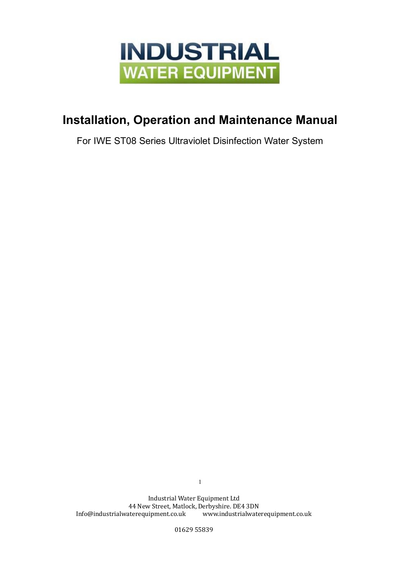

# **Installation, Operation and Maintenance Manual**

For IWE ST08 Series Ultraviolet Disinfection Water System

Industrial Water Equipment Ltd 44 New Street, Matlock, Derbyshire. DE4 3DN Info@industrialwaterequipment.co.uk www.industrialwaterequipment.co.uk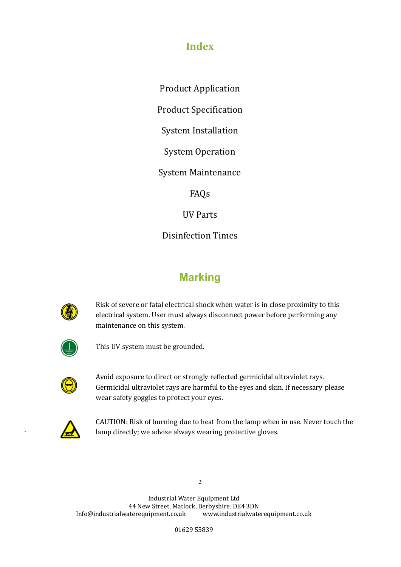# **Index**

Product Application

Product Specification

System Installation

System Operation

System Maintenance

FAQs

UV Parts

Disinfection Times

# **Marking**



Risk of severe or fatal electrical shock when water is in close proximity to this electrical system. User must always disconnect power before performing any maintenance on this system.



This UV system must be grounded.



Avoid exposure to direct or strongly reflected germicidal ultraviolet rays. Germicidal ultraviolet rays are harmful to the eyes and skin. If necessary please wear safety goggles to protect your eyes.



.

CAUTION: Risk of burning due to heat from the lamp when in use. Never touch the lamp directly; we advise always wearing protective gloves.

2

Industrial Water Equipment Ltd 44 New Street, Matlock, Derbyshire. DE4 3DN Info@industrialwaterequipment.co.uk www.industrialwaterequipment.co.uk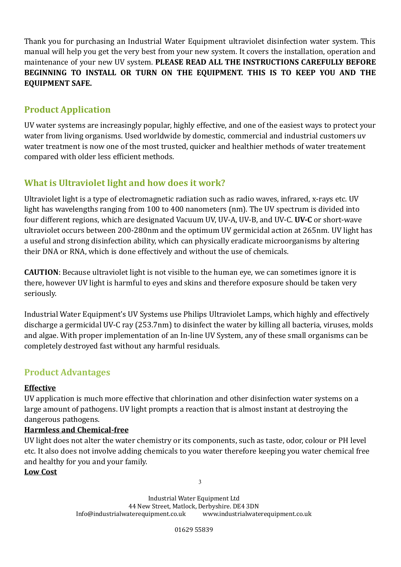Thank you for purchasing an Industrial Water Equipment ultraviolet disinfection water system. This manual will help you get the very best from your new system. It covers the installation, operation and maintenance of your new UV system. **PLEASE READ ALL THE INSTRUCTIONS CAREFULLY BEFORE BEGINNING TO INSTALL OR TURN ON THE EQUIPMENT. THIS IS TO KEEP YOU AND THE EQUIPMENT SAFE.**

# **Product Application**

UV water systems are increasingly popular, highly effective, and one of the easiest ways to protect your water from living organisms. Used worldwide by domestic, commercial and industrial customers uv water treatment is now one of the most trusted, quicker and healthier methods of water treatement compared with older less efficient methods.

# **What is Ultraviolet light and how does it work?**

Ultraviolet light is a type of electromagnetic radiation such as radio waves, infrared, x-rays etc. UV light has wavelengths ranging from 100 to 400 nanometers (nm). The UV spectrum is divided into four different regions, which are designated Vacuum UV, UV-A, UV-B, and UV-C. **UV-C** or short-wave ultraviolet occurs between 200-280nm and the optimum UV germicidal action at 265nm. UV light has a useful and strong disinfection ability, which can physically eradicate microorganisms by altering their DNA or RNA, which is done effectively and without the use of chemicals.

**CAUTION**: Because ultraviolet light is not visible to the human eye, we can sometimes ignore it is there, however UV light is harmful to eyes and skins and therefore exposure should be taken very seriously.

Industrial Water Equipment's UV Systems use Philips Ultraviolet Lamps, which highly and effectively discharge a germicidal UV-C ray (253.7nm) to disinfect the water by killing all bacteria, viruses, molds and algae. With proper implementation of an In-line UV System, any of these small organisms can be completely destroyed fast without any harmful residuals.

# **Product Advantages**

#### **Effective**

UV application is much more effective that chlorination and other disinfection water systems on a large amount of pathogens. UV light prompts a reaction that is almost instant at destroying the dangerous pathogens.

## **Harmless and Chemical-free**

UV light does not alter the water chemistry or its components, such as taste, odor, colour or PH level etc. It also does not involve adding chemicals to you water therefore keeping you water chemical free and healthy for you and your family.

3

**Low Cost**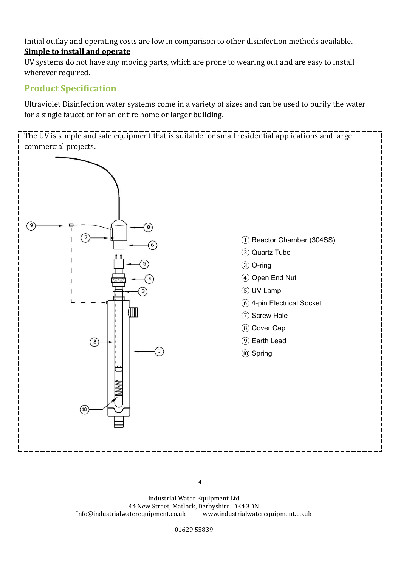Initial outlay and operating costs are low in comparison to other disinfection methods available. **Simple to install and operate**

UV systems do not have any moving parts, which are prone to wearing out and are easy to install wherever required.

## **Product Specification**

Ultraviolet Disinfection water systems come in a variety of sizes and can be used to purify the water for a single faucet or for an entire home or larger building.

The UV is simple and safe equipment that is suitable for small residential applications and large commercial projects.



Industrial Water Equipment Ltd 44 New Street, Matlock, Derbyshire. DE4 3DN Info@industrialwaterequipment.co.uk www.industrialwaterequipment.co.uk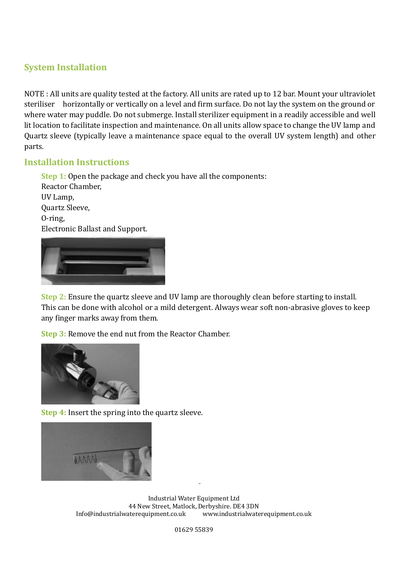## **System Installation**

NOTE : All units are quality tested at the factory. All units are rated up to 12 bar. Mount your ultraviolet steriliser horizontally or vertically on a level and firm surface. Do not lay the system on the ground or where water may puddle. Do not submerge. Install sterilizer equipment in a readily accessible and well lit location to facilitate inspection and maintenance. On all units allow space to change the UV lamp and Quartz sleeve (typically leave a maintenance space equal to the overall UV system length) and other parts.

### **Installation Instructions**

**Step 1:** Open the package and check you have all the components: Reactor Chamber, UV Lamp, Quartz Sleeve, O-ring, Electronic Ballast and Support.

**Step 2:** Ensure the quartz sleeve and UV lamp are thoroughly clean before starting to install. This can be done with alcohol or a mild detergent. Always wear soft non-abrasive gloves to keep any finger marks away from them.

**Step 3:** Remove the end nut from the Reactor Chamber.



**Step 4:** Insert the spring into the quartz sleeve.



Industrial Water Equipment Ltd 44 New Street, Matlock, Derbyshire. DE4 3DN Info@industrialwaterequipment.co.uk www.industrialwaterequipment.co.uk

5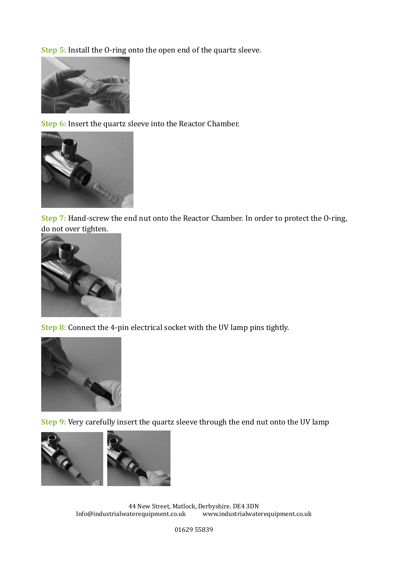**Step 5:** Install the O-ring onto the open end of the quartz sleeve.



**Step 6:** Insert the quartz sleeve into the Reactor Chamber.



**Step 7:** Hand-screw the end nut onto the Reactor Chamber. In order to protect the O-ring, do not over tighten.



**Step 8:** Connect the 4-pin electrical socket with the UV lamp pins tightly.



**Step 9:** Very carefully insert the quartz sleeve through the end nut onto the UV lamp



44 New Street, Matlock, Derbyshire. DE4 3DN Info@industrialwaterequipment.co.uk www.industrialwaterequipment.co.uk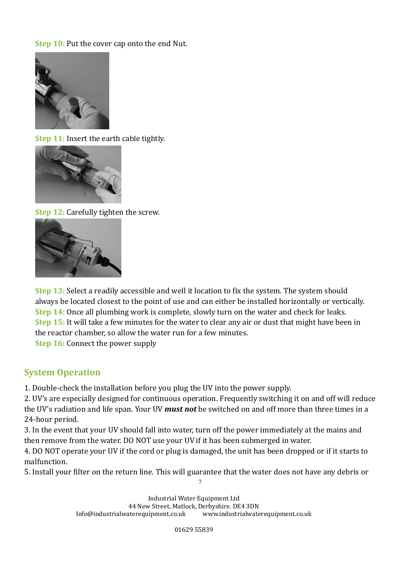**Step 10:** Put the cover cap onto the end Nut.



**Step 11:** Insert the earth cable tightly.



**Step 12: Carefully tighten the screw.** 



**Step 13:** Select a readily accessible and well it location to fix the system. The system should always be located closest to the point of use and can either be installed horizontally or vertically. **Step 14:** Once all plumbing work is complete, slowly turn on the water and check for leaks. **Step 15:** It will take a few minutes for the water to clear any air or dust that might have been in the reactor chamber, so allow the water run for a few minutes.

**Step 16:** Connect the power supply

## **System Operation**

1. Double-check the installation before you plug the UV into the power supply.

2. UV's are especially designed for continuous operation. Frequently switching it on and off will reduce the UV's radiation and life span. Your UV *must not* be switched on and off more than three times in a 24-hour period.

3. In the event that your UV should fall into water, turn off the power immediately at the mains and then remove from the water. DO NOT use your UV if it has been submerged in water.

4. DO NOT operate your UV if the cord or plug is damaged, the unit has been dropped or if it starts to malfunction.

7 5. Install your filter on the return line. This will guarantee that the water does not have any debris or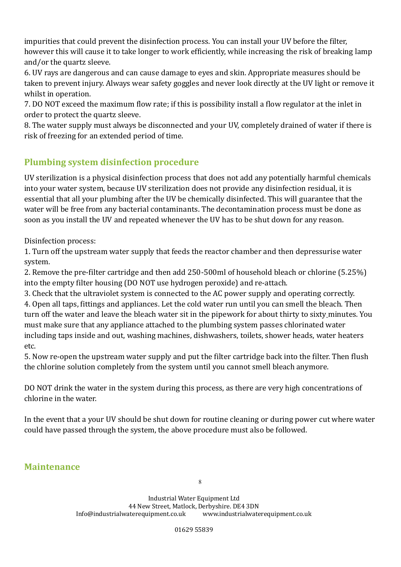impurities that could prevent the disinfection process. You can install your UV before the filter, however this will cause it to take longer to work efficiently, while increasing the risk of breaking lamp and/or the quartz sleeve.

6. UV rays are dangerous and can cause damage to eyes and skin. Appropriate measures should be taken to prevent injury. Always wear safety goggles and never look directly at the UV light or remove it whilst in operation.

7. DO NOT exceed the maximum flow rate; if this is possibility install a flow regulator at the inlet in order to protect the quartz sleeve.

8. The water supply must always be disconnected and your UV, completely drained of water if there is risk of freezing for an extended period of time.

# **Plumbing system disinfection procedure**

UV sterilization is a physical disinfection process that does not add any potentially harmful chemicals into your water system, because UV sterilization does not provide any disinfection residual, it is essential that all your plumbing after the UV be chemically disinfected. This will guarantee that the water will be free from any bacterial contaminants. The decontamination process must be done as soon as you install the UV and repeated whenever the UV has to be shut down for any reason.

Disinfection process:

1. Turn off the upstream water supply that feeds the reactor chamber and then depressurise water system.

2. Remove the pre-filter cartridge and then add 250-500ml of household bleach or chlorine (5.25%) into the empty filter housing (DO NOT use hydrogen peroxide) and re-attach.

3. Check that the ultraviolet system is connected to the AC power supply and operating correctly.

4. Open all taps, fittings and appliances. Let the cold water run until you can smell the bleach. Then turn off the water and leave the bleach water sit in the pipework for about thirty to sixty minutes. You must make sure that any appliance attached to the plumbing system passes chlorinated water including taps inside and out, washing machines, dishwashers, toilets, shower heads, water heaters etc.

5. Now re-open the upstream water supply and put the filter cartridge back into the filter. Then flush the chlorine solution completely from the system until you cannot smell bleach anymore.

DO NOT drink the water in the system during this process, as there are very high concentrations of chlorine in the water.

In the event that a your UV should be shut down for routine cleaning or during power cut where water could have passed through the system, the above procedure must also be followed.

## **Maintenance**

Industrial Water Equipment Ltd 44 New Street, Matlock, Derbyshire. DE4 3DN Info@industrialwaterequipment.co.uk www.industrialwaterequipment.co.uk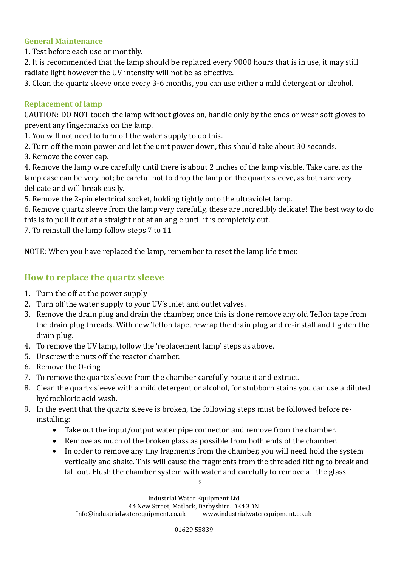#### **General Maintenance**

- 1. Test before each use or monthly.
- 2. It is recommended that the lamp should be replaced every 9000 hours that is in use, it may still radiate light however the UV intensity will not be as effective.
- 3. Clean the quartz sleeve once every 3-6 months, you can use either a mild detergent or alcohol.

#### **Replacement of lamp**

CAUTION: DO NOT touch the lamp without gloves on, handle only by the ends or wear soft gloves to prevent any fingermarks on the lamp.

- 1. You will not need to turn off the water supply to do this.
- 2. Turn off the main power and let the unit power down, this should take about 30 seconds.
- 3. Remove the cover cap.

4. Remove the lamp wire carefully until there is about 2 inches of the lamp visible. Take care, as the lamp case can be very hot; be careful not to drop the lamp on the quartz sleeve, as both are very delicate and will break easily.

5. Remove the 2-pin electrical socket, holding tightly onto the ultraviolet lamp.

6. Remove quartz sleeve from the lamp very carefully, these are incredibly delicate! The best way to do this is to pull it out at a straight not at an angle until it is completely out.

7. To reinstall the lamp follow steps 7 to 11

NOTE: When you have replaced the lamp, remember to reset the lamp life timer.

## **How to replace the quartz sleeve**

- 1. Turn the off at the power supply
- 2. Turn off the water supply to your UV's inlet and outlet valves.
- 3. Remove the drain plug and drain the chamber, once this is done remove any old Teflon tape from the drain plug threads. With new Teflon tape, rewrap the drain plug and re-install and tighten the drain plug.
- 4. To remove the UV lamp, follow the 'replacement lamp' steps as above.
- 5. Unscrew the nuts off the reactor chamber.
- 6. Remove the O-ring
- 7. To remove the quartz sleeve from the chamber carefully rotate it and extract.
- 8. Clean the quartz sleeve with a mild detergent or alcohol, for stubborn stains you can use a diluted hydrochloric acid wash.
- 9. In the event that the quartz sleeve is broken, the following steps must be followed before reinstalling:
	- Take out the input/output water pipe connector and remove from the chamber.
	- Remove as much of the broken glass as possible from both ends of the chamber.
	- In order to remove any tiny fragments from the chamber, you will need hold the system vertically and shake. This will cause the fragments from the threaded fitting to break and fall out. Flush the chamber system with water and carefully to remove all the glass

Industrial Water Equipment Ltd

44 New Street, Matlock, Derbyshire. DE4 3DN

Info@industrialwaterequipment.co.uk www.industrialwaterequipment.co.uk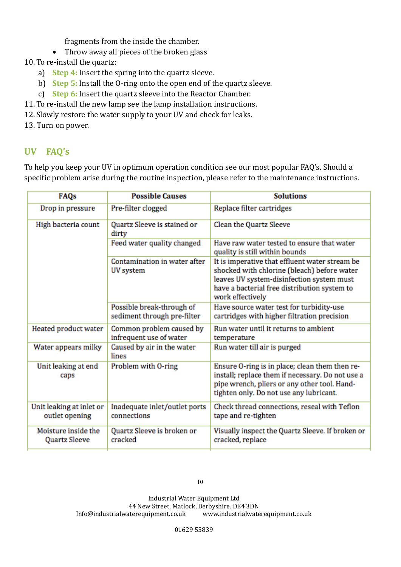fragments from the inside the chamber.

• Throw away all pieces of the broken glass

10. To re-install the quartz:

- a) **Step 4:** Insert the spring into the quartz sleeve.
- b) **Step 5:** Install the O-ring onto the open end of the quartz sleeve.
- c) **Step 6:** Insert the quartz sleeve into the Reactor Chamber.
- 11. To re-install the new lamp see the lamp installation instructions.
- 12.Slowly restore the water supply to your UV and check for leaks.

13. Turn on power.

## **UV FAQ's**

To help you keep your UV in optimum operation condition see our most popular FAQ's. Should a specific problem arise during the routine inspection, please refer to the maintenance instructions.

| <b>FAQs</b>                                | <b>Possible Causes</b>                                   | <b>Solutions</b>                                                                                                                                                                                               |  |
|--------------------------------------------|----------------------------------------------------------|----------------------------------------------------------------------------------------------------------------------------------------------------------------------------------------------------------------|--|
| Drop in pressure                           | Pre-filter clogged                                       | Replace filter cartridges                                                                                                                                                                                      |  |
| High bacteria count                        | Quartz Sleeve is stained or<br>dirty                     | Clean the Quartz Sleeve                                                                                                                                                                                        |  |
|                                            | Feed water quality changed                               | Have raw water tested to ensure that water<br>quality is still within bounds                                                                                                                                   |  |
|                                            | Contamination in water after<br>UV system                | It is imperative that effluent water stream be<br>shocked with chlorine (bleach) before water<br>leaves UV system-disinfection system must<br>have a bacterial free distribution system to<br>work effectively |  |
|                                            | Possible break-through of<br>sediment through pre-filter | Have source water test for turbidity-use<br>cartridges with higher filtration precision                                                                                                                        |  |
| Heated product water                       | Common problem caused by<br>infrequent use of water      | Run water until it returns to ambient<br>temperature                                                                                                                                                           |  |
| Water appears milky                        | Caused by air in the water<br>lines                      | Run water till air is purged                                                                                                                                                                                   |  |
| Unit leaking at end<br>caps                | Problem with O-ring                                      | Ensure O-ring is in place; clean them then re-<br>install; replace them if necessary. Do not use a<br>pipe wrench, pliers or any other tool. Hand-<br>tighten only. Do not use any lubricant.                  |  |
| Unit leaking at inlet or<br>outlet opening | Inadequate inlet/outlet ports<br>connections             | Check thread connections, reseal with Teflon<br>tape and re-tighten                                                                                                                                            |  |
| Moisture inside the<br>Quartz Sleeve       | Quartz Sleeve is broken or<br>cracked                    | Visually inspect the Quartz Sleeve. If broken or<br>cracked, replace                                                                                                                                           |  |

10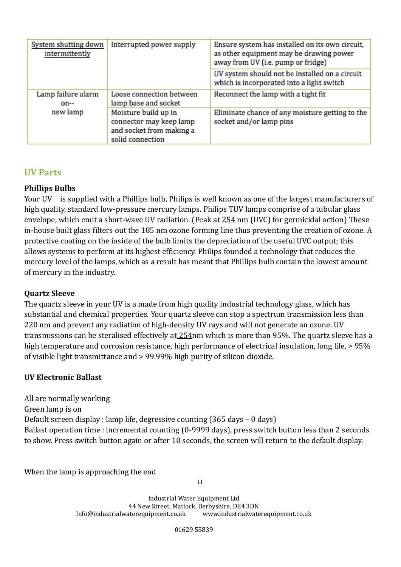| System shutting down<br>intermittently | Interrupted power supply                                                                        | Ensure system has installed on its own circuit,<br>as other equipment may be drawing power<br>away from UV (i.e. pump or fridge) |  |
|----------------------------------------|-------------------------------------------------------------------------------------------------|----------------------------------------------------------------------------------------------------------------------------------|--|
|                                        |                                                                                                 | UV system should not be installed on a circuit<br>which is incorporated into a light switch                                      |  |
| Lamp failure alarm<br>on--             | Loose connection between<br>lamp base and socket                                                | Reconnect the lamp with a tight fit                                                                                              |  |
| new lamp                               | Moisture build up in<br>connector may keep lamp<br>and socket from making a<br>solid connection | Eliminate chance of any moisture getting to the<br>socket and/or lamp pins                                                       |  |

## **UV Parts**

#### **Phillips Bulbs**

Your UV is supplied with a Phillips bulb, Philips is well known as one of the largest manufacturers of high quality, standard low-pressure mercury lamps. Philips TUV lamps comprise of a tubular glass envelope, which emit a short-wave UV radiation. (Peak at 254 nm (UVC) for germicidal action) These in-house built glass filters out the 185 nm ozone forming line thus preventing the creation of ozone. A protective coating on the inside of the bulb limits the depreciation of the useful UVC output; this allows systems to perform at its highest efficiency. Philips founded a technology that reduces the mercury level of the lamps, which as a result has meant that Phillips bulb contain the lowest amount of mercury in the industry.

#### **Quartz Sleeve**

The quartz sleeve in your UV is a made from high quality industrial technology glass, which has substantial and chemical properties. Your quartz sleeve can stop a spectrum transmission less than 220 nm and prevent any radiation of high-density UV rays and will not generate an ozone. UV transmissions can be steralised effectively at 254nm which is more than 95%. The quartz sleeve has a high temperature and corrosion resistance, high performance of electrical insulation, long life,  $> 95\%$ of visible light transmittance and > 99.99% high purity of silicon dioxide.

#### **UV Electronic Ballast**

All are normally working Green lamp is on Default screen display : lamp life, degressive counting (365 days – 0 days) Ballast operation time : incremental counting (0-9999 days), press switch button less than 2 seconds to show. Press switch button again or after 10 seconds, the screen will return to the default display.

When the lamp is approaching the end

11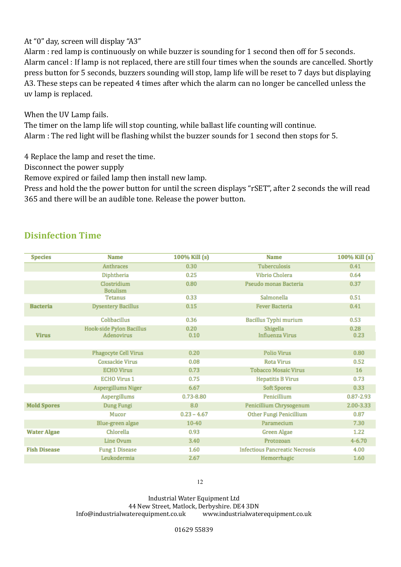At "0" day, screen will display "A3"

Alarm : red lamp is continuously on while buzzer is sounding for 1 second then off for 5 seconds. Alarm cancel : If lamp is not replaced, there are still four times when the sounds are cancelled. Shortly press button for 5 seconds, buzzers sounding will stop, lamp life will be reset to 7 days but displaying A3. These steps can be repeated 4 times after which the alarm can no longer be cancelled unless the uv lamp is replaced.

When the UV Lamp fails.

The timer on the lamp life will stop counting, while ballast life counting will continue. Alarm : The red light will be flashing whilst the buzzer sounds for 1 second then stops for 5.

4 Replace the lamp and reset the time.

Disconnect the power supply

Remove expired or failed lamp then install new lamp.

Press and hold the the power button for until the screen displays "rSET", after 2 seconds the will read 365 and there will be an audible tone. Release the power button.

## **Disinfection Time**

| <b>Species</b>      | <b>Name</b>                            | 100% Kill (s) | <b>Name</b>                           | 100% Kill (s) |
|---------------------|----------------------------------------|---------------|---------------------------------------|---------------|
|                     | Anthraces                              | 0.30          | Tuberculosis                          | 0.41          |
|                     | Diphtheria                             | 0.25          | Vibrio Cholera                        | 0.64          |
|                     | Clostridium<br><b>Botulism</b>         | 0.80          | Pseudo monas Bacteria                 | 0.37          |
|                     | Tetanus                                | 0.33          | Salmonella                            | 0.51          |
| <b>Bacteria</b>     | <b>Dysentery Bacillus</b>              | 0.15          | <b>Fever Bacteria</b>                 | 0.41          |
|                     | Colibacillus                           | 0.36          | Bacillus Typhi murium                 | 0.53          |
| <b>Virus</b>        | Hook-side Pylon Bacillus<br>Adenovirus | 0.20<br>0.10  | Shigella<br><b>Influenza Virus</b>    | 0.28<br>0.23  |
|                     |                                        |               |                                       |               |
|                     | Phagocyte Cell Virus                   | 0.20          | Polio Virus                           | 0.80          |
|                     | <b>Coxsackie Virus</b>                 | 0.08          | <b>Rota Virus</b>                     | 0.52          |
|                     | <b>ECHO Virus</b>                      | 0.73          | <b>Tobacco Mosaic Virus</b>           | 16            |
|                     | <b>ECHO Virus 1</b>                    | 0.75          | <b>Hepatitis B Virus</b>              | 0.73          |
|                     | Aspergillums Niger                     | 6.67          | Soft Spores                           | 0.33          |
|                     | Aspergillums                           | 0.73-8.80     | Penicillium                           | 0.87-2.93     |
| <b>Mold Spores</b>  | Dung Fungi                             | 8.0           | Penicillium Chrysogenum               | 2.00-3.33     |
|                     | Mucor                                  | $0.23 - 4.67$ | Other Fungi Penicillium               | 0.87          |
|                     | Blue-green algae                       | $10 - 40$     | Paramecium                            | 7.30          |
| <b>Water Algae</b>  | Chlorella                              | 0.93          | <b>Green Algae</b>                    | 1.22          |
|                     | Line Ovum                              | 3.40          | Protozoan                             | $4 - 6.70$    |
| <b>Fish Disease</b> | <b>Fung 1 Disease</b>                  | 1.60          | <b>Infectious Pancreatic Necrosis</b> | 4.00          |
|                     | Leukodermia                            | 2.67          | Hemorrhagic                           | 1.60          |

12